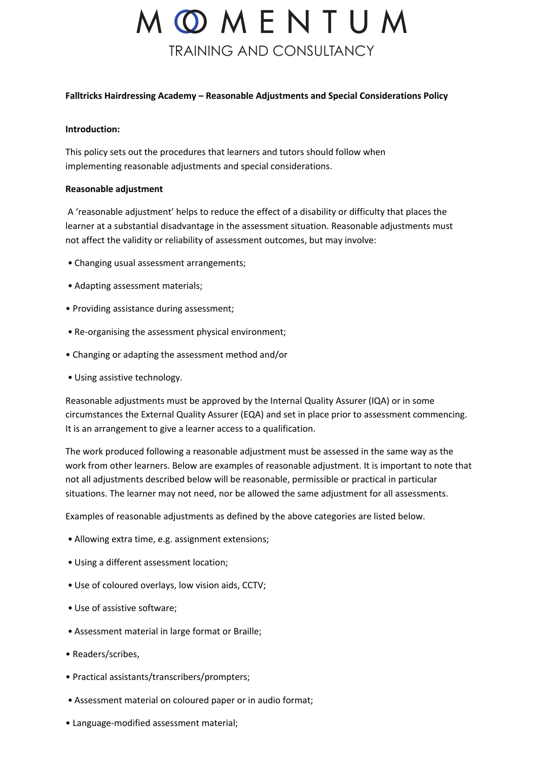## **A @ M E N T U M** TRAINING AND CONSULTANCY

#### **Falltricks Hairdressing Academy – Reasonable Adjustments and Special Considerations Policy**

#### **Introduction:**

This policy sets out the procedures that learners and tutors should follow when implementing reasonable adjustments and special considerations.

#### **Reasonable adjustment**

A 'reasonable adjustment' helps to reduce the effect of a disability or difficulty that places the learner at a substantial disadvantage in the assessment situation. Reasonable adjustments must not affect the validity or reliability of assessment outcomes, but may involve:

- Changing usual assessment arrangements;
- Adapting assessment materials;
- Providing assistance during assessment;
- Re-organising the assessment physical environment;
- Changing or adapting the assessment method and/or
- Using assistive technology.

Reasonable adjustments must be approved by the Internal Quality Assurer (IQA) or in some circumstances the External Quality Assurer (EQA) and set in place prior to assessment commencing. It is an arrangement to give a learner access to a qualification.

The work produced following a reasonable adjustment must be assessed in the same way as the work from other learners. Below are examples of reasonable adjustment. It is important to note that not all adjustments described below will be reasonable, permissible or practical in particular situations. The learner may not need, nor be allowed the same adjustment for all assessments.

Examples of reasonable adjustments as defined by the above categories are listed below.

- Allowing extra time, e.g. assignment extensions;
- Using a different assessment location;
- Use of coloured overlays, low vision aids, CCTV;
- Use of assistive software;
- Assessment material in large format or Braille;
- Readers/scribes,
- Practical assistants/transcribers/prompters;
- Assessment material on coloured paper or in audio format;
- Language-modified assessment material;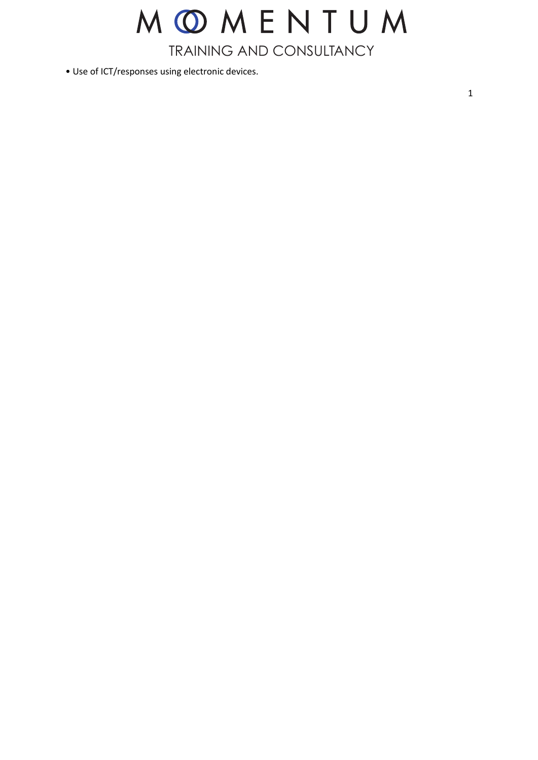### MOMENTUM TRAINING AND CONSULTANCY

• Use of ICT/responses using electronic devices.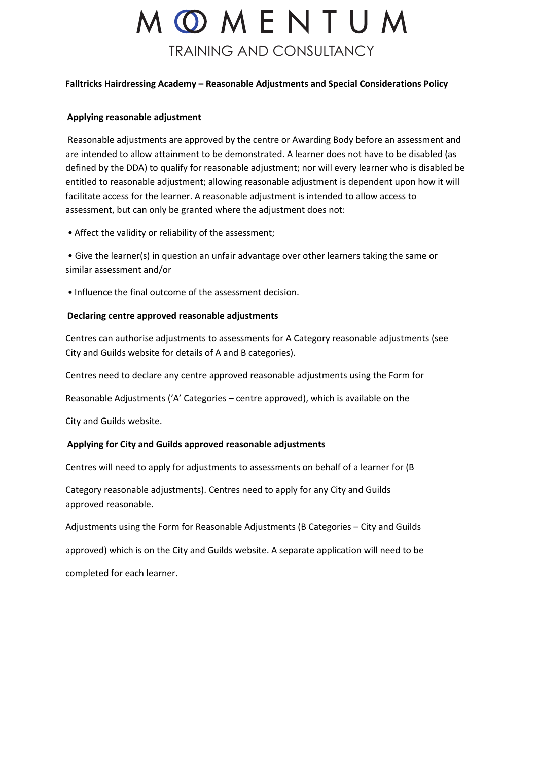## **A @ M E N T U M** TRAINING AND CONSULTANCY

#### **Falltricks Hairdressing Academy – Reasonable Adjustments and Special Considerations Policy**

#### **Applying reasonable adjustment**

Reasonable adjustments are approved by the centre or Awarding Body before an assessment and are intended to allow attainment to be demonstrated. A learner does not have to be disabled (as defined by the DDA) to qualify for reasonable adjustment; nor will every learner who is disabled be entitled to reasonable adjustment; allowing reasonable adjustment is dependent upon how it will facilitate access for the learner. A reasonable adjustment is intended to allow access to assessment, but can only be granted where the adjustment does not:

• Affect the validity or reliability of the assessment;

• Give the learner(s) in question an unfair advantage over other learners taking the same or similar assessment and/or

• Influence the final outcome of the assessment decision.

#### **Declaring centre approved reasonable adjustments**

Centres can authorise adjustments to assessments for A Category reasonable adjustments (see City and Guilds website for details of A and B categories).

Centres need to declare any centre approved reasonable adjustments using the Form for

Reasonable Adjustments ('A' Categories – centre approved), which is available on the

City and Guilds website.

#### **Applying for City and Guilds approved reasonable adjustments**

Centres will need to apply for adjustments to assessments on behalf of a learner for (B

Category reasonable adjustments). Centres need to apply for any City and Guilds approved reasonable.

Adjustments using the Form for Reasonable Adjustments (B Categories – City and Guilds

approved) which is on the City and Guilds website. A separate application will need to be

completed for each learner.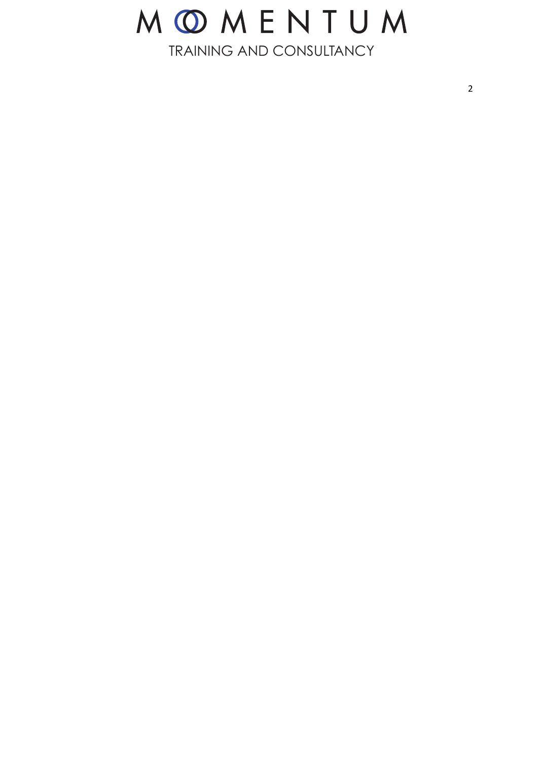# MOMENTUM TRAINING AND CONSULTANCY

2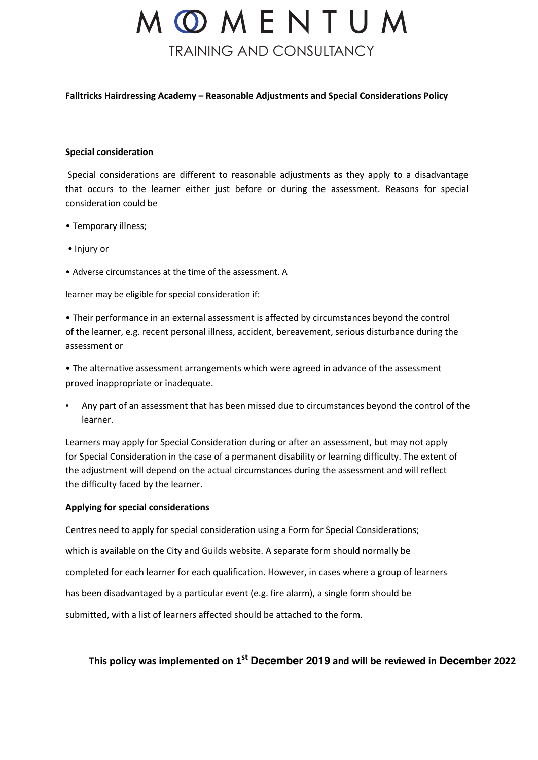## 1 **O** M E N T U M TRAINING AND CONSULTANCY

#### **Falltricks Hairdressing Academy – Reasonable Adjustments and Special Considerations Policy**

#### **Special consideration**

Special considerations are different to reasonable adjustments as they apply to a disadvantage that occurs to the learner either just before or during the assessment. Reasons for special consideration could be

- Temporary illness;
- Injury or
- Adverse circumstances at the time of the assessment. A

learner may be eligible for special consideration if:

• Their performance in an external assessment is affected by circumstances beyond the control of the learner, e.g. recent personal illness, accident, bereavement, serious disturbance during the assessment or

• The alternative assessment arrangements which were agreed in advance of the assessment proved inappropriate or inadequate.

• Any part of an assessment that has been missed due to circumstances beyond the control of the learner.

Learners may apply for Special Consideration during or after an assessment, but may not apply for Special Consideration in the case of a permanent disability or learning difficulty. The extent of the adjustment will depend on the actual circumstances during the assessment and will reflect the difficulty faced by the learner.

#### **Applying for special considerations**

Centres need to apply for special consideration using a Form for Special Considerations; which is available on the City and Guilds website. A separate form should normally be completed for each learner for each qualification. However, in cases where a group of learners has been disadvantaged by a particular event (e.g. fire alarm), a single form should be submitted, with a list of learners affected should be attached to the form.

### **This policy was implemented on 1<sup>st</sup> December 2019 and will be reviewed in December 2022**